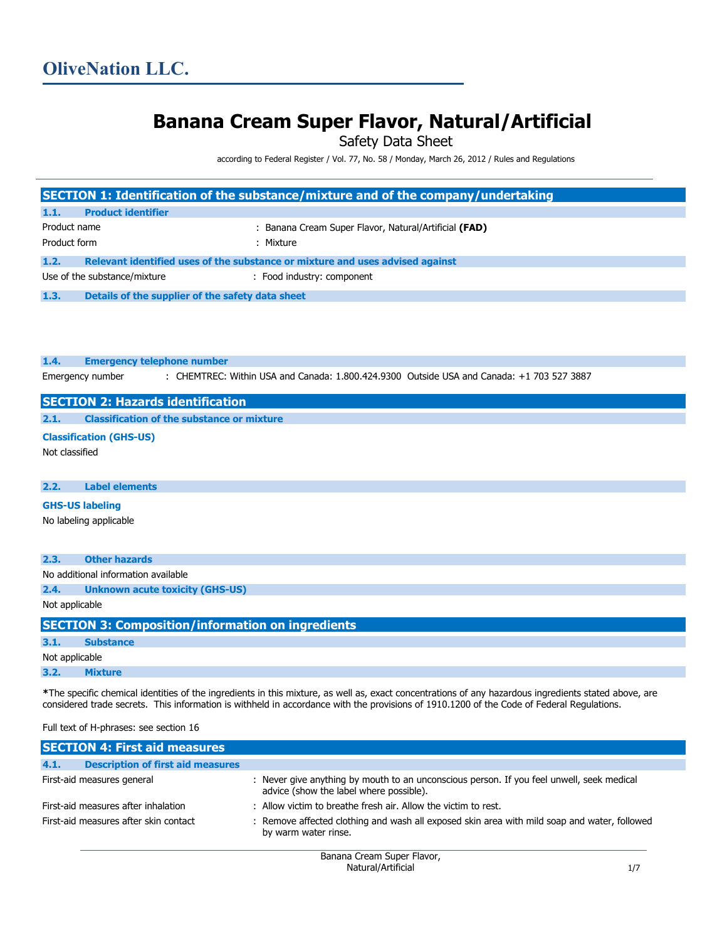# **Banana Cream Super Flavor, Natural/Artificial**

Safety Data Sheet

according to Federal Register / Vol. 77, No. 58 / Monday, March 26, 2012 / Rules and Regulations

|                                                          |                                                          | SECTION 1: Identification of the substance/mixture and of the company/undertaking                                                                                                                                                                                                                  |
|----------------------------------------------------------|----------------------------------------------------------|----------------------------------------------------------------------------------------------------------------------------------------------------------------------------------------------------------------------------------------------------------------------------------------------------|
| 1.1.                                                     | <b>Product identifier</b>                                |                                                                                                                                                                                                                                                                                                    |
| Product name<br>Product form                             |                                                          | : Banana Cream Super Flavor, Natural/Artificial (FAD)<br>: Mixture                                                                                                                                                                                                                                 |
| 1.2.                                                     |                                                          | Relevant identified uses of the substance or mixture and uses advised against                                                                                                                                                                                                                      |
|                                                          | Use of the substance/mixture                             | : Food industry: component                                                                                                                                                                                                                                                                         |
| 1.3.                                                     | Details of the supplier of the safety data sheet         |                                                                                                                                                                                                                                                                                                    |
| <b>OliveNation LLC</b><br>Avon, MA 02322<br>617-580-3667 | 13 Robbie Road #A4                                       |                                                                                                                                                                                                                                                                                                    |
| 1.4.                                                     | <b>Emergency telephone number</b>                        |                                                                                                                                                                                                                                                                                                    |
|                                                          | Emergency number                                         | : CHEMTREC: Within USA and Canada: 1.800.424.9300 Outside USA and Canada: +1 703 527 3887                                                                                                                                                                                                          |
|                                                          | <b>SECTION 2: Hazards identification</b>                 |                                                                                                                                                                                                                                                                                                    |
| 2.1.                                                     | <b>Classification of the substance or mixture</b>        |                                                                                                                                                                                                                                                                                                    |
| Not classified                                           | <b>Classification (GHS-US)</b>                           |                                                                                                                                                                                                                                                                                                    |
| 2.2.                                                     | <b>Label elements</b>                                    |                                                                                                                                                                                                                                                                                                    |
| <b>GHS-US labeling</b>                                   |                                                          |                                                                                                                                                                                                                                                                                                    |
|                                                          | No labeling applicable                                   |                                                                                                                                                                                                                                                                                                    |
| 2.3.                                                     | <b>Other hazards</b>                                     |                                                                                                                                                                                                                                                                                                    |
|                                                          | No additional information available                      |                                                                                                                                                                                                                                                                                                    |
| 2.4.                                                     | <b>Unknown acute toxicity (GHS-US)</b>                   |                                                                                                                                                                                                                                                                                                    |
| Not applicable                                           |                                                          |                                                                                                                                                                                                                                                                                                    |
|                                                          | <b>SECTION 3: Composition/information on ingredients</b> |                                                                                                                                                                                                                                                                                                    |
| 3.1.                                                     | <b>Substance</b>                                         |                                                                                                                                                                                                                                                                                                    |
| Not applicable                                           |                                                          |                                                                                                                                                                                                                                                                                                    |
| 3.2.                                                     | <b>Mixture</b>                                           |                                                                                                                                                                                                                                                                                                    |
|                                                          |                                                          | *The specific chemical identities of the ingredients in this mixture, as well as, exact concentrations of any hazardous ingredients stated above, are<br>considered trade secrets. This information is withheld in accordance with the provisions of 1910.1200 of the Code of Federal Regulations. |

Full text of H-phrases: see section 16

|                                       | <b>SECTION 4: First aid measures</b>     |                                                                                                                                      |
|---------------------------------------|------------------------------------------|--------------------------------------------------------------------------------------------------------------------------------------|
| 4.1.                                  | <b>Description of first aid measures</b> |                                                                                                                                      |
|                                       | First-aid measures general               | : Never give anything by mouth to an unconscious person. If you feel unwell, seek medical<br>advice (show the label where possible). |
| First-aid measures after inhalation   |                                          | : Allow victim to breathe fresh air. Allow the victim to rest.                                                                       |
| First-aid measures after skin contact |                                          | : Remove affected clothing and wash all exposed skin area with mild soap and water, followed<br>by warm water rinse.                 |
|                                       |                                          |                                                                                                                                      |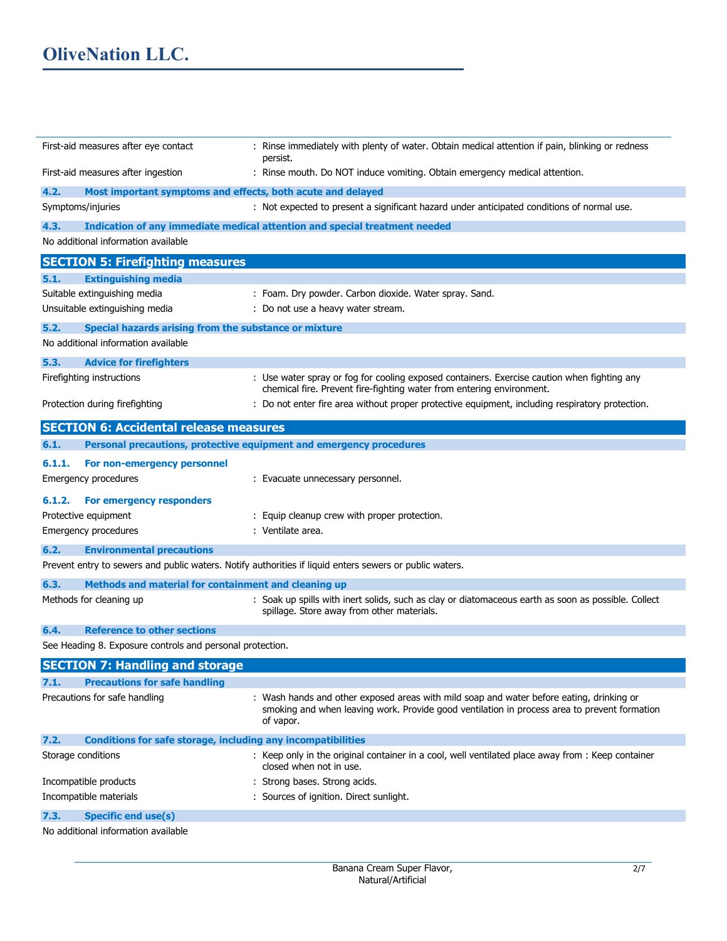| First-aid measures after eye contact                                        | : Rinse immediately with plenty of water. Obtain medical attention if pain, blinking or redness<br>persist.                                                                                           |
|-----------------------------------------------------------------------------|-------------------------------------------------------------------------------------------------------------------------------------------------------------------------------------------------------|
| First-aid measures after ingestion                                          | : Rinse mouth. Do NOT induce vomiting. Obtain emergency medical attention.                                                                                                                            |
| 4.2.                                                                        | Most important symptoms and effects, both acute and delayed                                                                                                                                           |
| Symptoms/injuries                                                           | : Not expected to present a significant hazard under anticipated conditions of normal use.                                                                                                            |
| 4.3.                                                                        | Indication of any immediate medical attention and special treatment needed                                                                                                                            |
| No additional information available                                         |                                                                                                                                                                                                       |
| <b>SECTION 5: Firefighting measures</b>                                     |                                                                                                                                                                                                       |
| 5.1.<br><b>Extinguishing media</b>                                          |                                                                                                                                                                                                       |
| Suitable extinguishing media                                                | : Foam. Dry powder. Carbon dioxide. Water spray. Sand.                                                                                                                                                |
| Unsuitable extinguishing media                                              | : Do not use a heavy water stream.                                                                                                                                                                    |
| 5.2.<br>Special hazards arising from the substance or mixture               |                                                                                                                                                                                                       |
| No additional information available                                         |                                                                                                                                                                                                       |
| 5.3.<br><b>Advice for firefighters</b>                                      |                                                                                                                                                                                                       |
| Firefighting instructions                                                   | : Use water spray or fog for cooling exposed containers. Exercise caution when fighting any<br>chemical fire. Prevent fire-fighting water from entering environment.                                  |
| Protection during firefighting                                              | : Do not enter fire area without proper protective equipment, including respiratory protection.                                                                                                       |
| <b>SECTION 6: Accidental release measures</b>                               |                                                                                                                                                                                                       |
| 6.1.                                                                        | Personal precautions, protective equipment and emergency procedures                                                                                                                                   |
| 6.1.1.<br>For non-emergency personnel                                       |                                                                                                                                                                                                       |
| Emergency procedures                                                        | : Evacuate unnecessary personnel.                                                                                                                                                                     |
|                                                                             |                                                                                                                                                                                                       |
| 6.1.2.<br>For emergency responders                                          |                                                                                                                                                                                                       |
| Protective equipment                                                        | : Equip cleanup crew with proper protection.                                                                                                                                                          |
| Emergency procedures                                                        | : Ventilate area.                                                                                                                                                                                     |
| 6.2.<br><b>Environmental precautions</b>                                    |                                                                                                                                                                                                       |
|                                                                             | Prevent entry to sewers and public waters. Notify authorities if liquid enters sewers or public waters.                                                                                               |
| 6.3.<br>Methods and material for containment and cleaning up                |                                                                                                                                                                                                       |
| Methods for cleaning up                                                     | : Soak up spills with inert solids, such as clay or diatomaceous earth as soon as possible. Collect<br>spillage. Store away from other materials.                                                     |
| <b>Reference to other sections</b><br>6.4.                                  |                                                                                                                                                                                                       |
| See Heading 8. Exposure controls and personal protection.                   |                                                                                                                                                                                                       |
| <b>SECTION 7: Handling and storage</b>                                      |                                                                                                                                                                                                       |
| 7.1.<br><b>Precautions for safe handling</b>                                |                                                                                                                                                                                                       |
| Precautions for safe handling                                               | : Wash hands and other exposed areas with mild soap and water before eating, drinking or<br>smoking and when leaving work. Provide good ventilation in process area to prevent formation<br>of vapor. |
| 7.2.<br><b>Conditions for safe storage, including any incompatibilities</b> |                                                                                                                                                                                                       |
| Storage conditions                                                          | : Keep only in the original container in a cool, well ventilated place away from : Keep container<br>closed when not in use.                                                                          |
| Incompatible products                                                       | : Strong bases. Strong acids.                                                                                                                                                                         |
| Incompatible materials                                                      | : Sources of ignition. Direct sunlight.                                                                                                                                                               |
| 7.3.<br><b>Specific end use(s)</b>                                          |                                                                                                                                                                                                       |
| No additional information available                                         |                                                                                                                                                                                                       |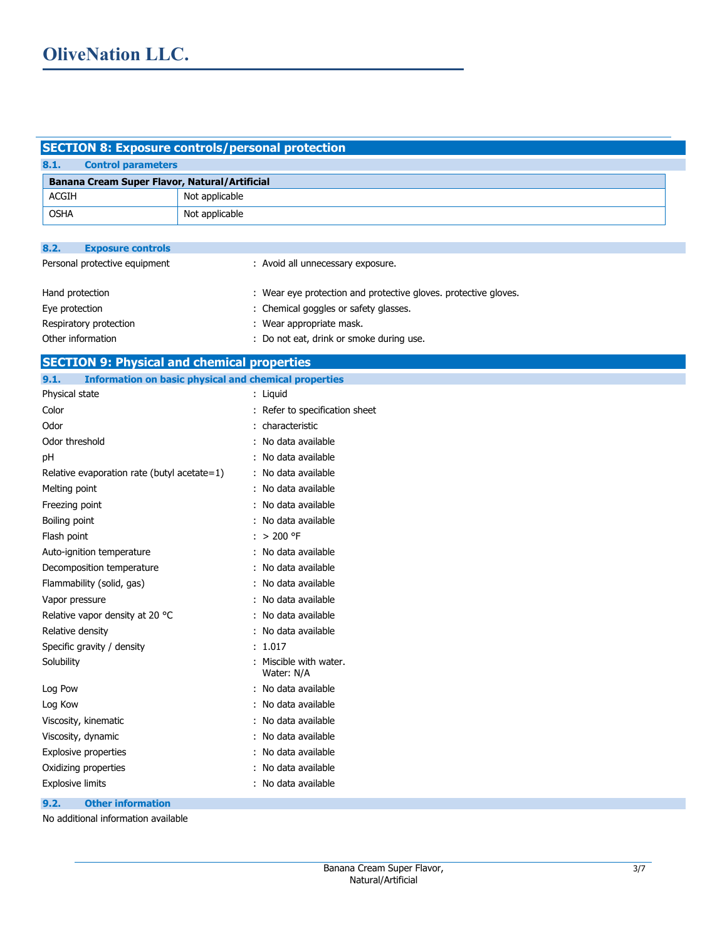# **SECTION 8: Exposure controls/personal protection**

| 8.1.<br><b>Control parameters</b>                  |                                                                 |  |
|----------------------------------------------------|-----------------------------------------------------------------|--|
| Banana Cream Super Flavor, Natural/Artificial      |                                                                 |  |
| <b>ACGIH</b>                                       | Not applicable                                                  |  |
| <b>OSHA</b>                                        | Not applicable                                                  |  |
|                                                    |                                                                 |  |
| 8.2.<br><b>Exposure controls</b>                   |                                                                 |  |
| Personal protective equipment                      | : Avoid all unnecessary exposure.                               |  |
|                                                    |                                                                 |  |
| Hand protection                                    | : Wear eye protection and protective gloves. protective gloves. |  |
| Eye protection                                     | : Chemical goggles or safety glasses.                           |  |
| Respiratory protection                             | : Wear appropriate mask.                                        |  |
| Other information                                  | : Do not eat, drink or smoke during use.                        |  |
| <b>SECTION 9: Physical and chemical properties</b> |                                                                 |  |
| 9.1.                                               | <b>Information on basic physical and chemical properties</b>    |  |
| Physical state                                     | : Liquid                                                        |  |
| Color                                              | : Refer to specification sheet                                  |  |
| Odor                                               | : characteristic                                                |  |
| Odor threshold                                     | : No data available                                             |  |
| pH                                                 | : No data available                                             |  |
| Relative evaporation rate (butyl acetate=1)        | : No data available                                             |  |
| Melting point                                      | : No data available                                             |  |
| Freezing point                                     | : No data available                                             |  |
| Boiling point                                      | : No data available                                             |  |
| Flash point                                        | : $>200$ °F                                                     |  |
| Auto-ignition temperature                          | : No data available                                             |  |
| Decomposition temperature                          | : No data available                                             |  |
| Flammability (solid, gas)                          | : No data available                                             |  |
| Vapor pressure                                     | : No data available                                             |  |
| Relative vapor density at 20 °C                    | : No data available                                             |  |
| Relative density                                   | : No data available                                             |  |
| Specific gravity / density                         | :1.017                                                          |  |
| Solubility                                         | : Miscible with water.<br>Water: N/A                            |  |
| Log Pow                                            | : No data available                                             |  |
| Log Kow                                            | : No data available                                             |  |
| Viscosity, kinematic                               | : No data available                                             |  |
| Viscosity, dynamic                                 | : No data available                                             |  |
| <b>Explosive properties</b>                        | : No data available                                             |  |
| Oxidizing properties                               | : No data available                                             |  |
| Explosive limits                                   | : No data available                                             |  |

# **9.2. Other information**

No additional information available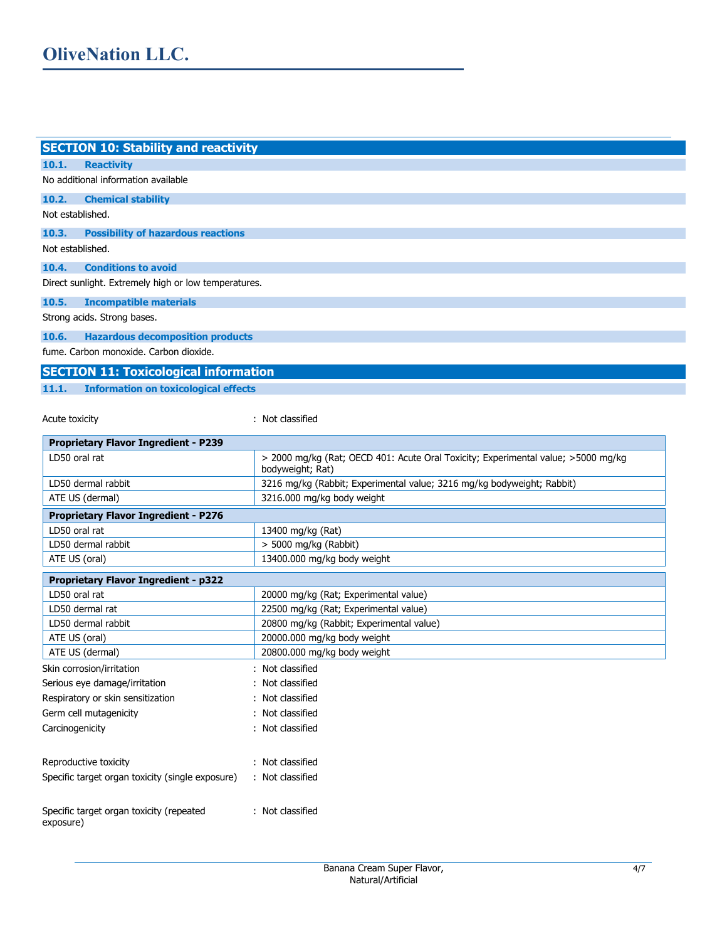| <b>SECTION 10: Stability and reactivity</b>          |                                                                                   |
|------------------------------------------------------|-----------------------------------------------------------------------------------|
| 10.1.<br><b>Reactivity</b>                           |                                                                                   |
| No additional information available                  |                                                                                   |
| 10.2.<br><b>Chemical stability</b>                   |                                                                                   |
| Not established.                                     |                                                                                   |
| 10.3.<br><b>Possibility of hazardous reactions</b>   |                                                                                   |
| Not established.                                     |                                                                                   |
| 10.4.<br><b>Conditions to avoid</b>                  |                                                                                   |
| Direct sunlight. Extremely high or low temperatures. |                                                                                   |
| 10.5.<br><b>Incompatible materials</b>               |                                                                                   |
| Strong acids. Strong bases.                          |                                                                                   |
| 10.6.<br><b>Hazardous decomposition products</b>     |                                                                                   |
| fume. Carbon monoxide. Carbon dioxide.               |                                                                                   |
| <b>SECTION 11: Toxicological information</b>         |                                                                                   |
| 11.1.<br><b>Information on toxicological effects</b> |                                                                                   |
|                                                      |                                                                                   |
| Acute toxicity                                       | : Not classified                                                                  |
| <b>Proprietary Flavor Ingredient - P239</b>          |                                                                                   |
| LD50 oral rat                                        | > 2000 mg/kg (Rat; OECD 401: Acute Oral Toxicity; Experimental value; >5000 mg/kg |
|                                                      | bodyweight; Rat)                                                                  |
| LD50 dermal rabbit                                   | 3216 mg/kg (Rabbit; Experimental value; 3216 mg/kg bodyweight; Rabbit)            |
| ATE US (dermal)                                      | 3216.000 mg/kg body weight                                                        |
| <b>Proprietary Flavor Ingredient - P276</b>          |                                                                                   |
| LD50 oral rat                                        | 13400 mg/kg (Rat)                                                                 |
| LD50 dermal rabbit                                   | > 5000 mg/kg (Rabbit)                                                             |
| ATE US (oral)                                        | 13400.000 mg/kg body weight                                                       |
| <b>Proprietary Flavor Ingredient - p322</b>          |                                                                                   |
| LD50 oral rat                                        | 20000 mg/kg (Rat; Experimental value)                                             |
| LD50 dermal rat                                      | 22500 mg/kg (Rat; Experimental value)                                             |
| LD50 dermal rabbit                                   | 20800 mg/kg (Rabbit; Experimental value)                                          |
| ATE US (oral)                                        | 20000.000 mg/kg body weight                                                       |
| ATE US (dermal)                                      | 20800.000 mg/kg body weight                                                       |
| Skin corrosion/irritation                            | Not classified                                                                    |
| Serious eye damage/irritation                        | : Not classified                                                                  |
| Respiratory or skin sensitization                    | : Not classified                                                                  |
| Germ cell mutagenicity                               | : Not classified                                                                  |
| Carcinogenicity                                      | : Not classified                                                                  |
| Reproductive toxicity                                | : Not classified                                                                  |
| Specific target organ toxicity (single exposure)     | : Not classified                                                                  |
|                                                      |                                                                                   |

Specific target organ toxicity (repeated exposure) : Not classified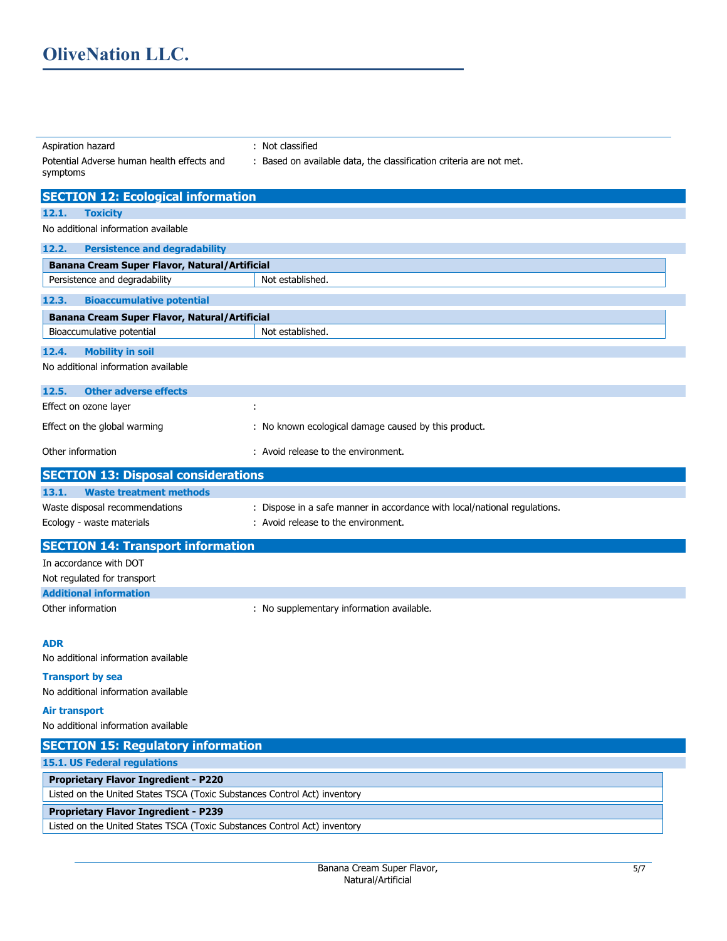Aspiration hazard : Not classified

| Potential Adverse human health effects and<br>symptoms                    | : Based on available data, the classification criteria are not met.       |
|---------------------------------------------------------------------------|---------------------------------------------------------------------------|
| <b>SECTION 12: Ecological information</b>                                 |                                                                           |
| 12.1.<br><b>Toxicity</b>                                                  |                                                                           |
| No additional information available                                       |                                                                           |
| 12.2.<br><b>Persistence and degradability</b>                             |                                                                           |
| Banana Cream Super Flavor, Natural/Artificial                             |                                                                           |
| Persistence and degradability                                             | Not established.                                                          |
| <b>Bioaccumulative potential</b><br>12.3.                                 |                                                                           |
| Banana Cream Super Flavor, Natural/Artificial                             |                                                                           |
| Bioaccumulative potential                                                 | Not established.                                                          |
| 12.4.<br><b>Mobility in soil</b>                                          |                                                                           |
| No additional information available                                       |                                                                           |
| 12.5.<br><b>Other adverse effects</b>                                     |                                                                           |
| Effect on ozone layer                                                     | ÷                                                                         |
| Effect on the global warming                                              | : No known ecological damage caused by this product.                      |
| Other information                                                         | : Avoid release to the environment.                                       |
| <b>SECTION 13: Disposal considerations</b>                                |                                                                           |
| <b>Waste treatment methods</b><br>13.1.                                   |                                                                           |
| Waste disposal recommendations                                            | : Dispose in a safe manner in accordance with local/national regulations. |
| Ecology - waste materials                                                 | : Avoid release to the environment.                                       |
| <b>SECTION 14: Transport information</b>                                  |                                                                           |
| In accordance with DOT                                                    |                                                                           |
| Not regulated for transport                                               |                                                                           |
| <b>Additional information</b>                                             |                                                                           |
| Other information                                                         | : No supplementary information available.                                 |
| <b>ADR</b>                                                                |                                                                           |
| No additional information available                                       |                                                                           |
| <b>Transport by sea</b>                                                   |                                                                           |
| No additional information available                                       |                                                                           |
| <b>Air transport</b>                                                      |                                                                           |
| No additional information available                                       |                                                                           |
| <b>SECTION 15: Regulatory information</b>                                 |                                                                           |
| <b>15.1. US Federal regulations</b>                                       |                                                                           |
| <b>Proprietary Flavor Ingredient - P220</b>                               |                                                                           |
| Listed on the United States TSCA (Toxic Substances Control Act) inventory |                                                                           |

## **Proprietary Flavor Ingredient - P239**

Listed on the United States TSCA (Toxic Substances Control Act) inventory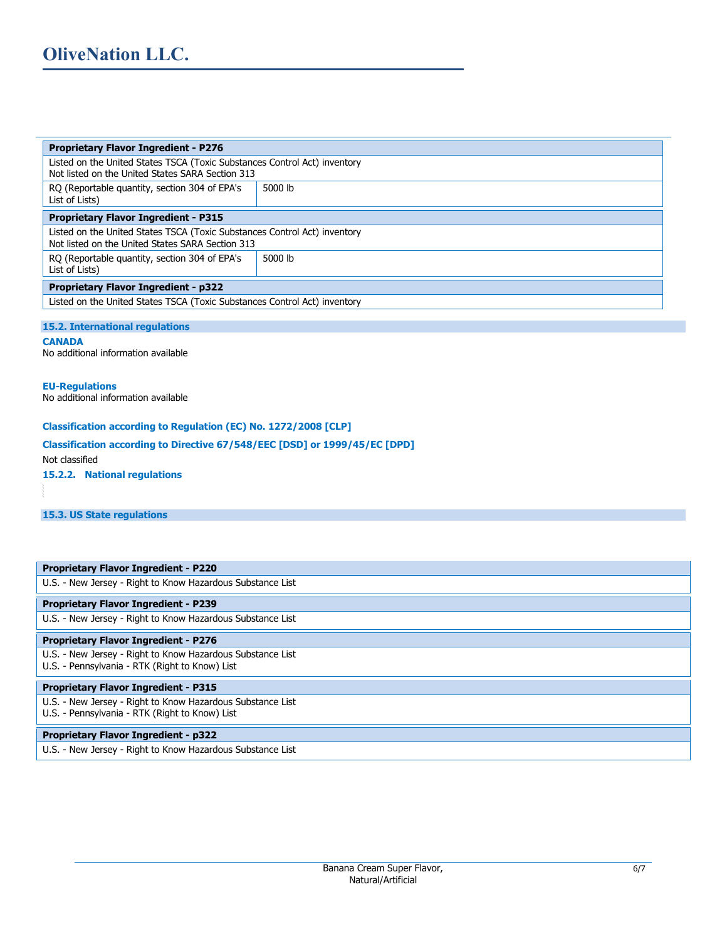| <b>Proprietary Flavor Ingredient - P276</b>                                                                                   |         |  |
|-------------------------------------------------------------------------------------------------------------------------------|---------|--|
| Listed on the United States TSCA (Toxic Substances Control Act) inventory<br>Not listed on the United States SARA Section 313 |         |  |
| RO (Reportable quantity, section 304 of EPA's<br>List of Lists)                                                               | 5000 lb |  |
| <b>Proprietary Flavor Ingredient - P315</b>                                                                                   |         |  |
| Listed on the United States TSCA (Toxic Substances Control Act) inventory<br>Not listed on the United States SARA Section 313 |         |  |
| RQ (Reportable quantity, section 304 of EPA's<br>List of Lists)                                                               | 5000 lb |  |
| <b>Proprietary Flavor Ingredient - p322</b>                                                                                   |         |  |
| Listed on the United States TSCA (Toxic Substances Control Act) inventory                                                     |         |  |

#### **15.2. International regulations**

**CANADA**  No additional information available

#### **EU-Regulations**

No additional information available

## **Classification according to Regulation (EC) No. 1272/2008 [CLP]**

# **Classification according to Directive 67/548/EEC [DSD] or 1999/45/EC [DPD]**

Not classified

**15.2.2. National regulations** 

**15.3. US State regulations**

| <b>Proprietary Flavor Ingredient - P220</b>                                                                  |
|--------------------------------------------------------------------------------------------------------------|
| U.S. - New Jersey - Right to Know Hazardous Substance List                                                   |
| <b>Proprietary Flavor Ingredient - P239</b>                                                                  |
| U.S. - New Jersey - Right to Know Hazardous Substance List                                                   |
| <b>Proprietary Flavor Ingredient - P276</b>                                                                  |
| U.S. - New Jersey - Right to Know Hazardous Substance List<br>U.S. - Pennsylvania - RTK (Right to Know) List |
| <b>Proprietary Flavor Ingredient - P315</b>                                                                  |
| U.S. - New Jersey - Right to Know Hazardous Substance List<br>U.S. - Pennsylvania - RTK (Right to Know) List |
| <b>Proprietary Flavor Ingredient - p322</b>                                                                  |
| U.S. - New Jersey - Right to Know Hazardous Substance List                                                   |